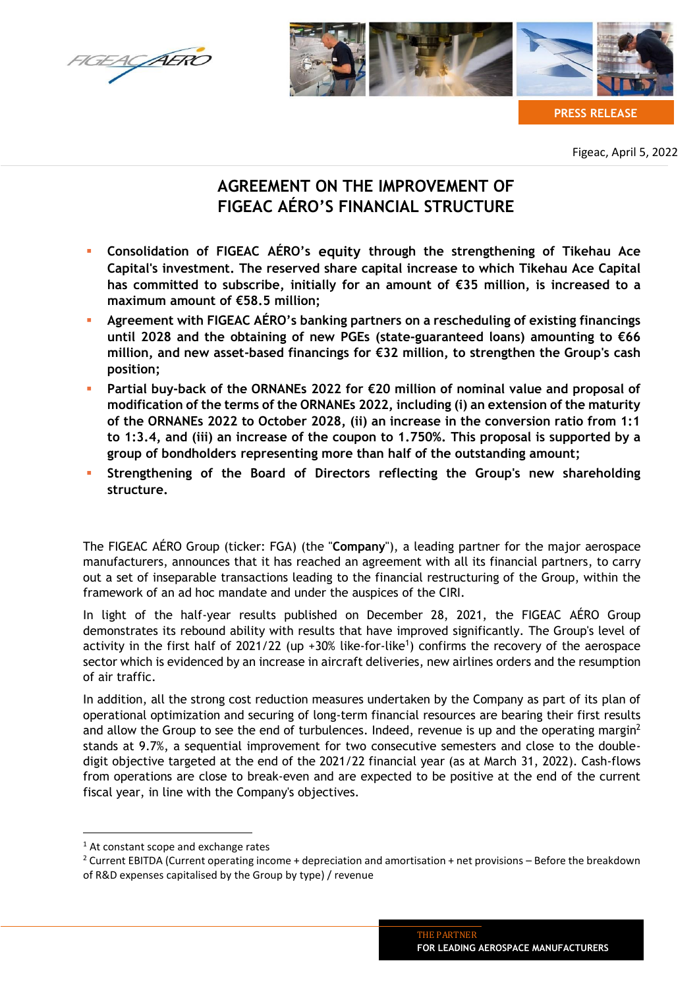



**PRESS RELEASE**

Figeac, April 5, 2022

# **AGREEMENT ON THE IMPROVEMENT OF FIGEAC AÉRO'S FINANCIAL STRUCTURE**

- **Consolidation of FIGEAC AÉRO's equity through the strengthening of Tikehau Ace Capital's investment. The reserved share capital increase to which Tikehau Ace Capital has committed to subscribe, initially for an amount of €35 million, is increased to a maximum amount of €58.5 million;**
- **Agreement with FIGEAC AÉRO's banking partners on a rescheduling of existing financings until 2028 and the obtaining of new PGEs (state-guaranteed loans) amounting to €66 million, and new asset-based financings for €32 million, to strengthen the Group's cash position;**
- **Partial buy-back of the ORNANEs 2022 for €20 million of nominal value and proposal of modification of the terms of the ORNANEs 2022, including (i) an extension of the maturity of the ORNANEs 2022 to October 2028, (ii) an increase in the conversion ratio from 1:1 to 1:3.4, and (iii) an increase of the coupon to 1.750%. This proposal is supported by a group of bondholders representing more than half of the outstanding amount;**
- **Strengthening of the Board of Directors reflecting the Group's new shareholding structure.**

The FIGEAC AÉRO Group (ticker: FGA) (the "**Company**"), a leading partner for the major aerospace manufacturers, announces that it has reached an agreement with all its financial partners, to carry out a set of inseparable transactions leading to the financial restructuring of the Group, within the framework of an ad hoc mandate and under the auspices of the CIRI.

In light of the half-year results published on December 28, 2021, the FIGEAC AÉRO Group demonstrates its rebound ability with results that have improved significantly. The Group's level of activity in the first half of 2021/22 (up +30% like-for-like<sup>1</sup>) confirms the recovery of the aerospace sector which is evidenced by an increase in aircraft deliveries, new airlines orders and the resumption of air traffic.

In addition, all the strong cost reduction measures undertaken by the Company as part of its plan of operational optimization and securing of long-term financial resources are bearing their first results and allow the Group to see the end of turbulences. Indeed, revenue is up and the operating margin<sup>2</sup> stands at 9.7%, a sequential improvement for two consecutive semesters and close to the doubledigit objective targeted at the end of the 2021/22 financial year (as at March 31, 2022). Cash-flows from operations are close to break-even and are expected to be positive at the end of the current fiscal year, in line with the Company's objectives.

 $<sup>1</sup>$  At constant scope and exchange rates</sup>

<sup>2</sup> Current EBITDA (Current operating income + depreciation and amortisation + net provisions – Before the breakdown of R&D expenses capitalised by the Group by type) / revenue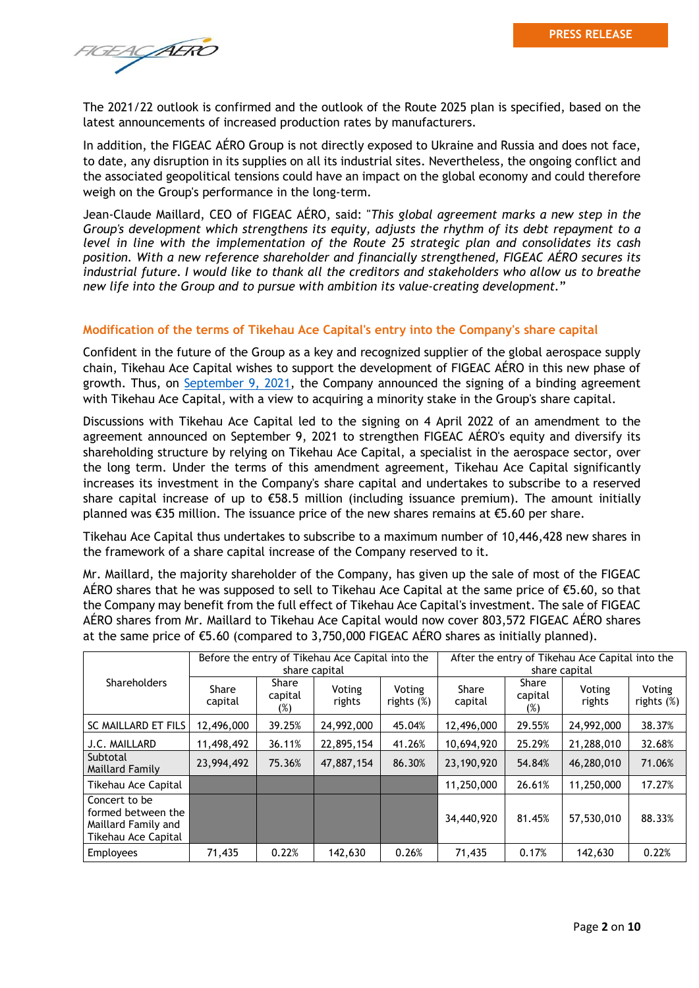FIGEACAERO

The 2021/22 outlook is confirmed and the outlook of the Route 2025 plan is specified, based on the latest announcements of increased production rates by manufacturers.

In addition, the FIGEAC AÉRO Group is not directly exposed to Ukraine and Russia and does not face, to date, any disruption in its supplies on all its industrial sites. Nevertheless, the ongoing conflict and the associated geopolitical tensions could have an impact on the global economy and could therefore weigh on the Group's performance in the long-term.

Jean-Claude Maillard, CEO of FIGEAC AÉRO, said: "*This global agreement marks a new step in the Group's development which strengthens its equity, adjusts the rhythm of its debt repayment to a level in line with the implementation of the Route 25 strategic plan and consolidates its cash position. With a new reference shareholder and financially strengthened, FIGEAC AÉRO secures its industrial future. I would like to thank all the creditors and stakeholders who allow us to breathe new life into the Group and to pursue with ambition its value-creating development.*"

### **Modification of the terms of Tikehau Ace Capital's entry into the Company's share capital**

Confident in the future of the Group as a key and recognized supplier of the global aerospace supply chain, Tikehau Ace Capital wishes to support the development of FIGEAC AÉRO in this new phase of growth. Thus, on [September 9, 2021,](https://www.figeac-aero.com/sites/default/files/cp_figeac_aero_accord_ace_capital_partners_vdef_english.pdf) the Company announced the signing of a binding agreement with Tikehau Ace Capital, with a view to acquiring a minority stake in the Group's share capital.

Discussions with Tikehau Ace Capital led to the signing on 4 April 2022 of an amendment to the agreement announced on September 9, 2021 to strengthen FIGEAC AÉRO's equity and diversify its shareholding structure by relying on Tikehau Ace Capital, a specialist in the aerospace sector, over the long term. Under the terms of this amendment agreement, Tikehau Ace Capital significantly increases its investment in the Company's share capital and undertakes to subscribe to a reserved share capital increase of up to  $\epsilon$ 58.5 million (including issuance premium). The amount initially planned was €35 million. The issuance price of the new shares remains at €5.60 per share.

Tikehau Ace Capital thus undertakes to subscribe to a maximum number of 10,446,428 new shares in the framework of a share capital increase of the Company reserved to it.

Mr. Maillard, the majority shareholder of the Company, has given up the sale of most of the FIGEAC AÉRO shares that he was supposed to sell to Tikehau Ace Capital at the same price of  $\epsilon$ 5.60, so that the Company may benefit from the full effect of Tikehau Ace Capital's investment. The sale of FIGEAC AÉRO shares from Mr. Maillard to Tikehau Ace Capital would now cover 803,572 FIGEAC AÉRO shares at the same price of  $\epsilon$ 5.60 (compared to 3,750,000 FIGEAC AÉRO shares as initially planned).

|                                                                                   | Before the entry of Tikehau Ace Capital into the<br>share capital |                            |                  |                         | After the entry of Tikehau Ace Capital into the<br>share capital |                         |                  |                         |
|-----------------------------------------------------------------------------------|-------------------------------------------------------------------|----------------------------|------------------|-------------------------|------------------------------------------------------------------|-------------------------|------------------|-------------------------|
| <b>Shareholders</b>                                                               | Share<br>capital                                                  | Share<br>capital<br>$(\%)$ | Voting<br>rights | Voting<br>rights $(\%)$ | Share<br>capital                                                 | Share<br>capital<br>(%) | Voting<br>rights | Voting<br>rights $(\%)$ |
| SC MAILLARD ET FILS                                                               | 12,496,000                                                        | 39.25%                     | 24,992,000       | 45.04%                  | 12,496,000                                                       | 29.55%                  | 24,992,000       | 38.37%                  |
| J.C. MAILLARD                                                                     | 11,498,492                                                        | 36.11%                     | 22,895,154       | 41.26%                  | 10,694,920                                                       | 25.29%                  | 21,288,010       | 32.68%                  |
| Subtotal<br>Maillard Family                                                       | 23,994,492                                                        | 75.36%                     | 47,887,154       | 86.30%                  | 23,190,920                                                       | 54.84%                  | 46,280,010       | 71.06%                  |
| Tikehau Ace Capital                                                               |                                                                   |                            |                  |                         | 11,250,000                                                       | 26.61%                  | 11,250,000       | 17.27%                  |
| Concert to be<br>formed between the<br>Maillard Family and<br>Tikehau Ace Capital |                                                                   |                            |                  |                         | 34,440,920                                                       | 81.45%                  | 57,530,010       | 88.33%                  |
| <b>Employees</b>                                                                  | 71,435                                                            | 0.22%                      | 142,630          | 0.26%                   | 71,435                                                           | 0.17%                   | 142,630          | 0.22%                   |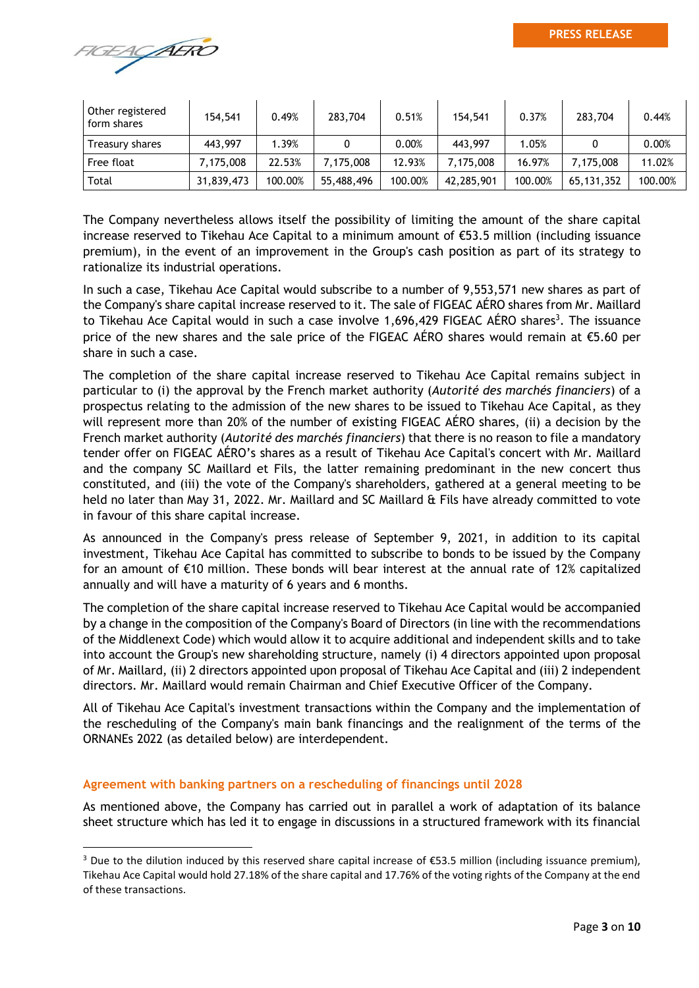

| Other registered<br>form shares | 154,541    | 0.49%   | 283,704    | 0.51%   | 154,541    | 0.37%   | 283,704    | 0.44%    |
|---------------------------------|------------|---------|------------|---------|------------|---------|------------|----------|
| Treasury shares                 | 443,997    | 1.39%   |            | 0.00%   | 443,997    | 1.05%   |            | $0.00\%$ |
| Free float                      | 7,175,008  | 22.53%  | 7.175.008  | 12.93%  | 7,175,008  | 16.97%  | 7.175.008  | 11.02%   |
| Total                           | 31,839,473 | 100.00% | 55,488,496 | 100.00% | 42,285,901 | 100.00% | 65,131,352 | 100.00%  |

The Company nevertheless allows itself the possibility of limiting the amount of the share capital increase reserved to Tikehau Ace Capital to a minimum amount of €53.5 million (including issuance premium), in the event of an improvement in the Group's cash position as part of its strategy to rationalize its industrial operations.

In such a case, Tikehau Ace Capital would subscribe to a number of 9,553,571 new shares as part of the Company's share capital increase reserved to it. The sale of FIGEAC AÉRO shares from Mr. Maillard to Tikehau Ace Capital would in such a case involve 1,696,429 FIGEAC AÉRO shares<sup>3</sup>. The issuance price of the new shares and the sale price of the FIGEAC AÉRO shares would remain at €5.60 per share in such a case.

The completion of the share capital increase reserved to Tikehau Ace Capital remains subject in particular to (i) the approval by the French market authority (*Autorité des marchés financiers*) of a prospectus relating to the admission of the new shares to be issued to Tikehau Ace Capital, as they will represent more than 20% of the number of existing FIGEAC AÉRO shares, (ii) a decision by the French market authority (*Autorité des marchés financiers*) that there is no reason to file a mandatory tender offer on FIGEAC AÉRO's shares as a result of Tikehau Ace Capital's concert with Mr. Maillard and the company SC Maillard et Fils, the latter remaining predominant in the new concert thus constituted, and (iii) the vote of the Company's shareholders, gathered at a general meeting to be held no later than May 31, 2022. Mr. Maillard and SC Maillard & Fils have already committed to vote in favour of this share capital increase.

As announced in the Company's press release of September 9, 2021, in addition to its capital investment, Tikehau Ace Capital has committed to subscribe to bonds to be issued by the Company for an amount of €10 million. These bonds will bear interest at the annual rate of 12% capitalized annually and will have a maturity of 6 years and 6 months.

The completion of the share capital increase reserved to Tikehau Ace Capital would be accompanied by a change in the composition of the Company's Board of Directors (in line with the recommendations of the Middlenext Code) which would allow it to acquire additional and independent skills and to take into account the Group's new shareholding structure, namely (i) 4 directors appointed upon proposal of Mr. Maillard, (ii) 2 directors appointed upon proposal of Tikehau Ace Capital and (iii) 2 independent directors. Mr. Maillard would remain Chairman and Chief Executive Officer of the Company.

All of Tikehau Ace Capital's investment transactions within the Company and the implementation of the rescheduling of the Company's main bank financings and the realignment of the terms of the ORNANEs 2022 (as detailed below) are interdependent.

## **Agreement with banking partners on a rescheduling of financings until 2028**

As mentioned above, the Company has carried out in parallel a work of adaptation of its balance sheet structure which has led it to engage in discussions in a structured framework with its financial

<sup>&</sup>lt;sup>3</sup> Due to the dilution induced by this reserved share capital increase of €53.5 million (including issuance premium), Tikehau Ace Capital would hold 27.18% of the share capital and 17.76% of the voting rights of the Company at the end of these transactions.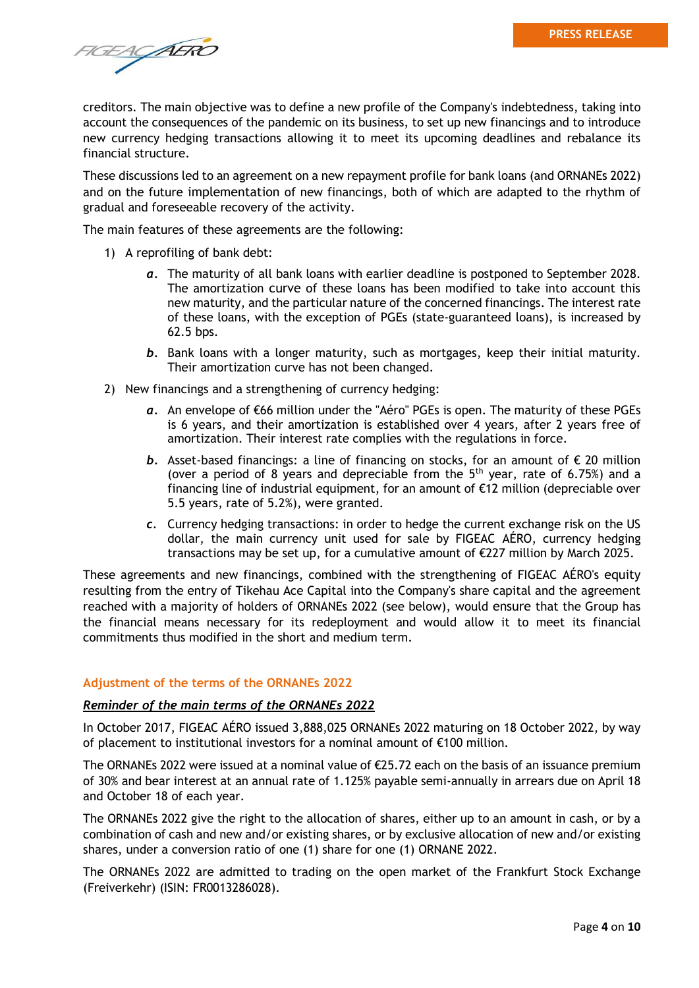FIGEACAERO

creditors. The main objective was to define a new profile of the Company's indebtedness, taking into account the consequences of the pandemic on its business, to set up new financings and to introduce new currency hedging transactions allowing it to meet its upcoming deadlines and rebalance its financial structure.

These discussions led to an agreement on a new repayment profile for bank loans (and ORNANEs 2022) and on the future implementation of new financings, both of which are adapted to the rhythm of gradual and foreseeable recovery of the activity.

The main features of these agreements are the following:

- 1) A reprofiling of bank debt:
	- *a.* The maturity of all bank loans with earlier deadline is postponed to September 2028. The amortization curve of these loans has been modified to take into account this new maturity, and the particular nature of the concerned financings. The interest rate of these loans, with the exception of PGEs (state-guaranteed loans), is increased by 62.5 bps.
	- *b.* Bank loans with a longer maturity, such as mortgages, keep their initial maturity. Their amortization curve has not been changed.
- 2) New financings and a strengthening of currency hedging:
	- *a.* An envelope of €66 million under the "Aéro" PGEs is open. The maturity of these PGEs is 6 years, and their amortization is established over 4 years, after 2 years free of amortization. Their interest rate complies with the regulations in force.
	- *b.* Asset-based financings: a line of financing on stocks, for an amount of € 20 million (over a period of 8 years and depreciable from the  $5<sup>th</sup>$  year, rate of 6.75%) and a financing line of industrial equipment, for an amount of €12 million (depreciable over 5.5 years, rate of 5.2%), were granted.
	- *c.* Currency hedging transactions: in order to hedge the current exchange risk on the US dollar, the main currency unit used for sale by FIGEAC AÉRO, currency hedging transactions may be set up, for a cumulative amount of €227 million by March 2025.

These agreements and new financings, combined with the strengthening of FIGEAC AÉRO's equity resulting from the entry of Tikehau Ace Capital into the Company's share capital and the agreement reached with a majority of holders of ORNANEs 2022 (see below), would ensure that the Group has the financial means necessary for its redeployment and would allow it to meet its financial commitments thus modified in the short and medium term.

### **Adjustment of the terms of the ORNANEs 2022**

### *Reminder of the main terms of the ORNANEs 2022*

In October 2017, FIGEAC AÉRO issued 3,888,025 ORNANEs 2022 maturing on 18 October 2022, by way of placement to institutional investors for a nominal amount of €100 million.

The ORNANEs 2022 were issued at a nominal value of €25.72 each on the basis of an issuance premium of 30% and bear interest at an annual rate of 1.125% payable semi-annually in arrears due on April 18 and October 18 of each year.

The ORNANEs 2022 give the right to the allocation of shares, either up to an amount in cash, or by a combination of cash and new and/or existing shares, or by exclusive allocation of new and/or existing shares, under a conversion ratio of one (1) share for one (1) ORNANE 2022.

The ORNANEs 2022 are admitted to trading on the open market of the Frankfurt Stock Exchange (Freiverkehr) (ISIN: FR0013286028).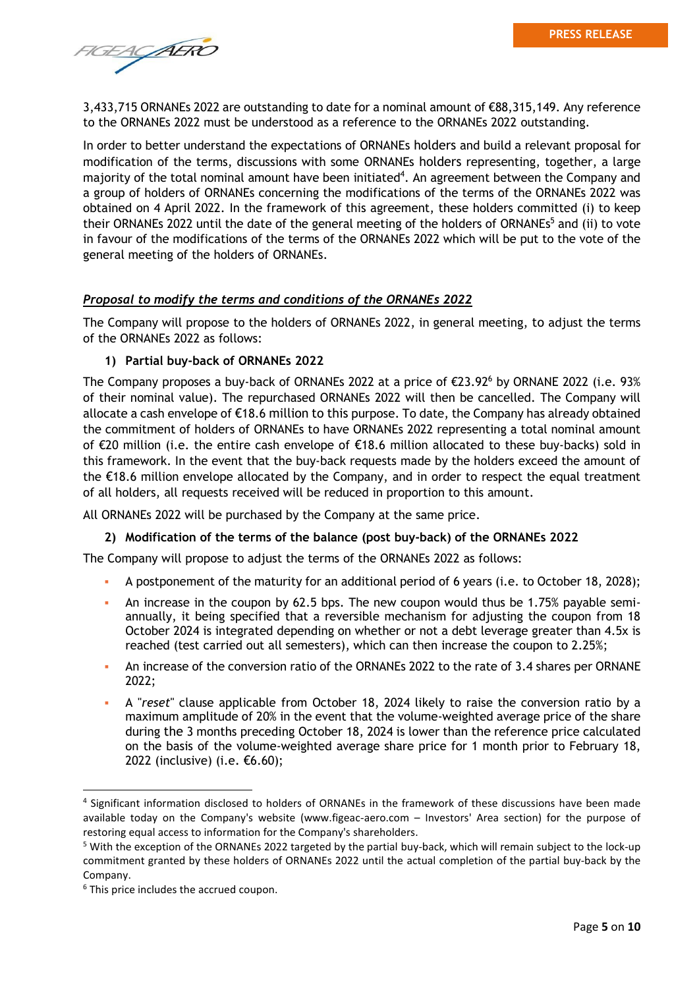FIGEACAERO

3,433,715 ORNANEs 2022 are outstanding to date for a nominal amount of €88,315,149. Any reference to the ORNANEs 2022 must be understood as a reference to the ORNANEs 2022 outstanding.

In order to better understand the expectations of ORNANEs holders and build a relevant proposal for modification of the terms, discussions with some ORNANEs holders representing, together, a large majority of the total nominal amount have been initiated<sup>4</sup>. An agreement between the Company and a group of holders of ORNANEs concerning the modifications of the terms of the ORNANEs 2022 was obtained on 4 April 2022. In the framework of this agreement, these holders committed (i) to keep their ORNANEs 2022 until the date of the general meeting of the holders of ORNANEs<sup>5</sup> and (ii) to vote in favour of the modifications of the terms of the ORNANEs 2022 which will be put to the vote of the general meeting of the holders of ORNANEs.

### *Proposal to modify the terms and conditions of the ORNANEs 2022*

The Company will propose to the holders of ORNANEs 2022, in general meeting, to adjust the terms of the ORNANEs 2022 as follows:

### **1) Partial buy-back of ORNANEs 2022**

The Company proposes a buy-back of ORNANEs 2022 at a price of  $\epsilon$ 23.92<sup>6</sup> by ORNANE 2022 (i.e. 93%) of their nominal value). The repurchased ORNANEs 2022 will then be cancelled. The Company will allocate a cash envelope of €18.6 million to this purpose. To date, the Company has already obtained the commitment of holders of ORNANEs to have ORNANEs 2022 representing a total nominal amount of €20 million (i.e. the entire cash envelope of €18.6 million allocated to these buy-backs) sold in this framework. In the event that the buy-back requests made by the holders exceed the amount of the €18.6 million envelope allocated by the Company, and in order to respect the equal treatment of all holders, all requests received will be reduced in proportion to this amount.

All ORNANEs 2022 will be purchased by the Company at the same price.

### **2) Modification of the terms of the balance (post buy-back) of the ORNANEs 2022**

The Company will propose to adjust the terms of the ORNANEs 2022 as follows:

- A postponement of the maturity for an additional period of 6 years (i.e. to October 18, 2028);
- An increase in the coupon by 62.5 bps. The new coupon would thus be 1.75% payable semiannually, it being specified that a reversible mechanism for adjusting the coupon from 18 October 2024 is integrated depending on whether or not a debt leverage greater than 4.5x is reached (test carried out all semesters), which can then increase the coupon to 2.25%;
- **An increase of the conversion ratio of the ORNANEs 2022 to the rate of 3.4 shares per ORNANE** 2022;
- A "*reset*" clause applicable from October 18, 2024 likely to raise the conversion ratio by a maximum amplitude of 20% in the event that the volume-weighted average price of the share during the 3 months preceding October 18, 2024 is lower than the reference price calculated on the basis of the volume-weighted average share price for 1 month prior to February 18, 2022 (inclusive) (i.e. €6.60);

<sup>&</sup>lt;sup>4</sup> Significant information disclosed to holders of ORNANEs in the framework of these discussions have been made available today on the Company's website (www.figeac-aero.com – Investors' Area section) for the purpose of restoring equal access to information for the Company's shareholders.

<sup>&</sup>lt;sup>5</sup> With the exception of the ORNANEs 2022 targeted by the partial buy-back, which will remain subject to the lock-up commitment granted by these holders of ORNANEs 2022 until the actual completion of the partial buy-back by the Company.

<sup>&</sup>lt;sup>6</sup> This price includes the accrued coupon.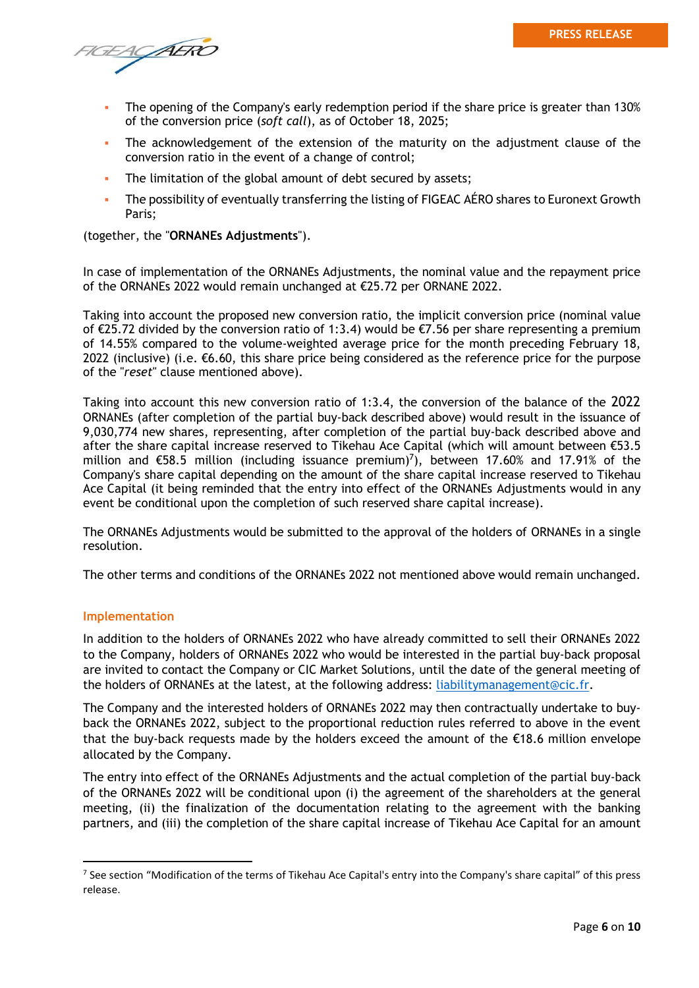TGEACAERO

- The opening of the Company's early redemption period if the share price is greater than 130% of the conversion price (*soft call*), as of October 18, 2025;
- The acknowledgement of the extension of the maturity on the adjustment clause of the conversion ratio in the event of a change of control;
- **EXECT** The limitation of the global amount of debt secured by assets;
- The possibility of eventually transferring the listing of FIGEAC AERO shares to Euronext Growth Paris;

(together, the "**ORNANEs Adjustments**").

In case of implementation of the ORNANEs Adjustments, the nominal value and the repayment price of the ORNANEs 2022 would remain unchanged at €25.72 per ORNANE 2022.

Taking into account the proposed new conversion ratio, the implicit conversion price (nominal value of €25.72 divided by the conversion ratio of 1:3.4) would be €7.56 per share representing a premium of 14.55% compared to the volume-weighted average price for the month preceding February 18, 2022 (inclusive) (i.e.  $\epsilon$ 6.60, this share price being considered as the reference price for the purpose of the "*reset*" clause mentioned above).

Taking into account this new conversion ratio of 1:3.4, the conversion of the balance of the 2022 ORNANEs (after completion of the partial buy-back described above) would result in the issuance of 9,030,774 new shares, representing, after completion of the partial buy-back described above and after the share capital increase reserved to Tikehau Ace Capital (which will amount between €53.5 million and  $\epsilon$ 58.5 million (including issuance premium)<sup>7</sup>), between 17.60% and 17.91% of the Company's share capital depending on the amount of the share capital increase reserved to Tikehau Ace Capital (it being reminded that the entry into effect of the ORNANEs Adjustments would in any event be conditional upon the completion of such reserved share capital increase).

The ORNANEs Adjustments would be submitted to the approval of the holders of ORNANEs in a single resolution.

The other terms and conditions of the ORNANEs 2022 not mentioned above would remain unchanged.

### **Implementation**

In addition to the holders of ORNANEs 2022 who have already committed to sell their ORNANEs 2022 to the Company, holders of ORNANEs 2022 who would be interested in the partial buy-back proposal are invited to contact the Company or CIC Market Solutions, until the date of the general meeting of the holders of ORNANEs at the latest, at the following address: [liabilitymanagement@cic.fr.](mailto:liabilitymanagement@cic.fr)

The Company and the interested holders of ORNANEs 2022 may then contractually undertake to buyback the ORNANEs 2022, subject to the proportional reduction rules referred to above in the event that the buy-back requests made by the holders exceed the amount of the  $\epsilon$ 18.6 million envelope allocated by the Company.

The entry into effect of the ORNANEs Adjustments and the actual completion of the partial buy-back of the ORNANEs 2022 will be conditional upon (i) the agreement of the shareholders at the general meeting, (ii) the finalization of the documentation relating to the agreement with the banking partners, and (iii) the completion of the share capital increase of Tikehau Ace Capital for an amount

<sup>&</sup>lt;sup>7</sup> See section "Modification of the terms of Tikehau Ace Capital's entry into the Company's share capital" of this press release.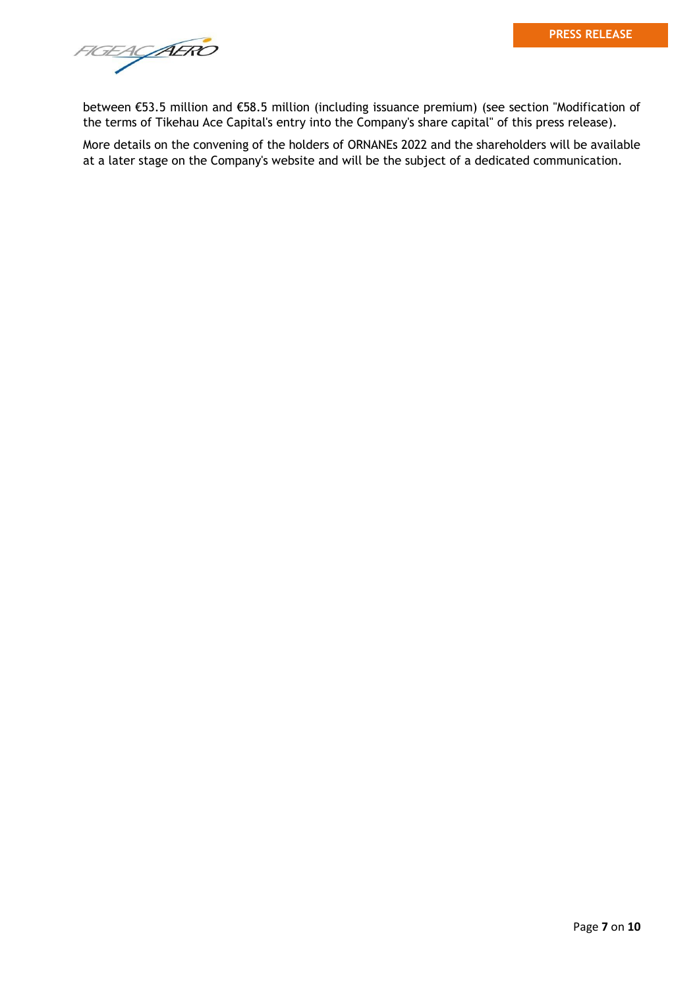FIGEACAERO

between €53.5 million and €58.5 million (including issuance premium) (see section "Modification of the terms of Tikehau Ace Capital's entry into the Company's share capital" of this press release).

More details on the convening of the holders of ORNANEs 2022 and the shareholders will be available at a later stage on the Company's website and will be the subject of a dedicated communication.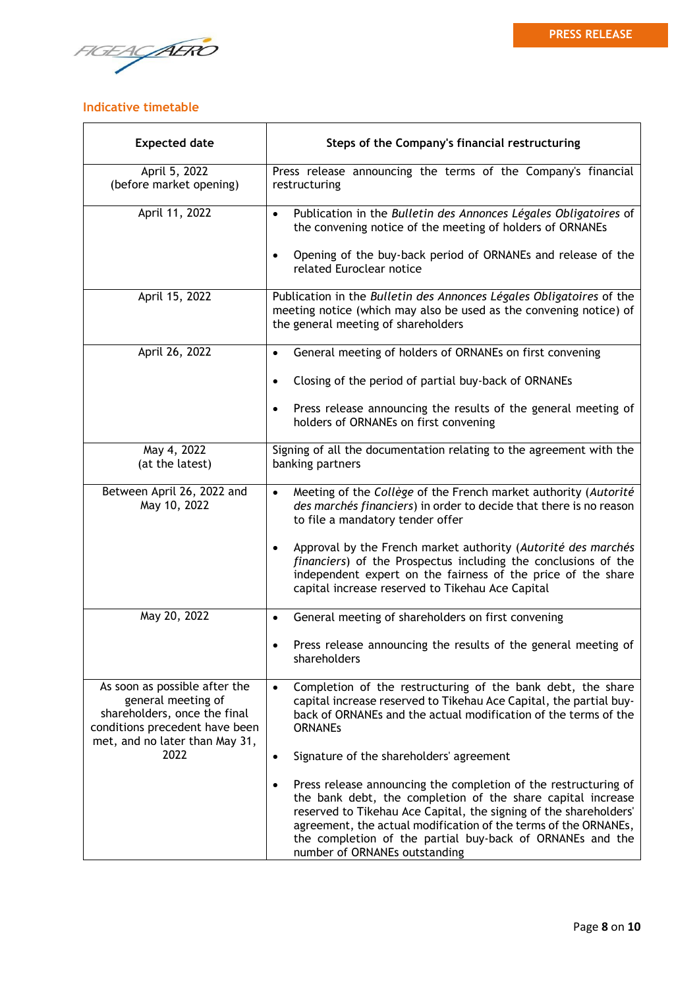FIGEACAERO

## **Indicative timetable**

| <b>Expected date</b>                                                                                                                                    | Steps of the Company's financial restructuring                                                                                                                                                                                                                                                                                                                       |  |  |  |  |
|---------------------------------------------------------------------------------------------------------------------------------------------------------|----------------------------------------------------------------------------------------------------------------------------------------------------------------------------------------------------------------------------------------------------------------------------------------------------------------------------------------------------------------------|--|--|--|--|
| April 5, 2022<br>(before market opening)                                                                                                                | Press release announcing the terms of the Company's financial<br>restructuring                                                                                                                                                                                                                                                                                       |  |  |  |  |
| April 11, 2022                                                                                                                                          | Publication in the Bulletin des Annonces Légales Obligatoires of<br>$\bullet$<br>the convening notice of the meeting of holders of ORNANEs                                                                                                                                                                                                                           |  |  |  |  |
|                                                                                                                                                         | Opening of the buy-back period of ORNANEs and release of the<br>$\bullet$<br>related Euroclear notice                                                                                                                                                                                                                                                                |  |  |  |  |
| April 15, 2022                                                                                                                                          | Publication in the Bulletin des Annonces Légales Obligatoires of the<br>meeting notice (which may also be used as the convening notice) of<br>the general meeting of shareholders                                                                                                                                                                                    |  |  |  |  |
| April 26, 2022                                                                                                                                          | General meeting of holders of ORNANEs on first convening                                                                                                                                                                                                                                                                                                             |  |  |  |  |
|                                                                                                                                                         | Closing of the period of partial buy-back of ORNANEs                                                                                                                                                                                                                                                                                                                 |  |  |  |  |
|                                                                                                                                                         | Press release announcing the results of the general meeting of<br>holders of ORNANEs on first convening                                                                                                                                                                                                                                                              |  |  |  |  |
| May 4, 2022<br>(at the latest)                                                                                                                          | Signing of all the documentation relating to the agreement with the<br>banking partners                                                                                                                                                                                                                                                                              |  |  |  |  |
| Between April 26, 2022 and<br>May 10, 2022                                                                                                              | Meeting of the Collège of the French market authority (Autorité<br>des marchés financiers) in order to decide that there is no reason<br>to file a mandatory tender offer                                                                                                                                                                                            |  |  |  |  |
|                                                                                                                                                         | Approval by the French market authority (Autorité des marchés<br>financiers) of the Prospectus including the conclusions of the<br>independent expert on the fairness of the price of the share<br>capital increase reserved to Tikehau Ace Capital                                                                                                                  |  |  |  |  |
| May 20, 2022                                                                                                                                            | General meeting of shareholders on first convening<br>$\bullet$                                                                                                                                                                                                                                                                                                      |  |  |  |  |
|                                                                                                                                                         | Press release announcing the results of the general meeting of<br>shareholders                                                                                                                                                                                                                                                                                       |  |  |  |  |
| As soon as possible after the<br>general meeting of<br>shareholders, once the final<br>conditions precedent have been<br>met, and no later than May 31, | Completion of the restructuring of the bank debt, the share<br>$\bullet$<br>capital increase reserved to Tikehau Ace Capital, the partial buy-<br>back of ORNANEs and the actual modification of the terms of the<br><b>ORNANES</b>                                                                                                                                  |  |  |  |  |
| 2022                                                                                                                                                    | Signature of the shareholders' agreement<br>$\bullet$                                                                                                                                                                                                                                                                                                                |  |  |  |  |
|                                                                                                                                                         | Press release announcing the completion of the restructuring of<br>the bank debt, the completion of the share capital increase<br>reserved to Tikehau Ace Capital, the signing of the shareholders'<br>agreement, the actual modification of the terms of the ORNANEs,<br>the completion of the partial buy-back of ORNANEs and the<br>number of ORNANEs outstanding |  |  |  |  |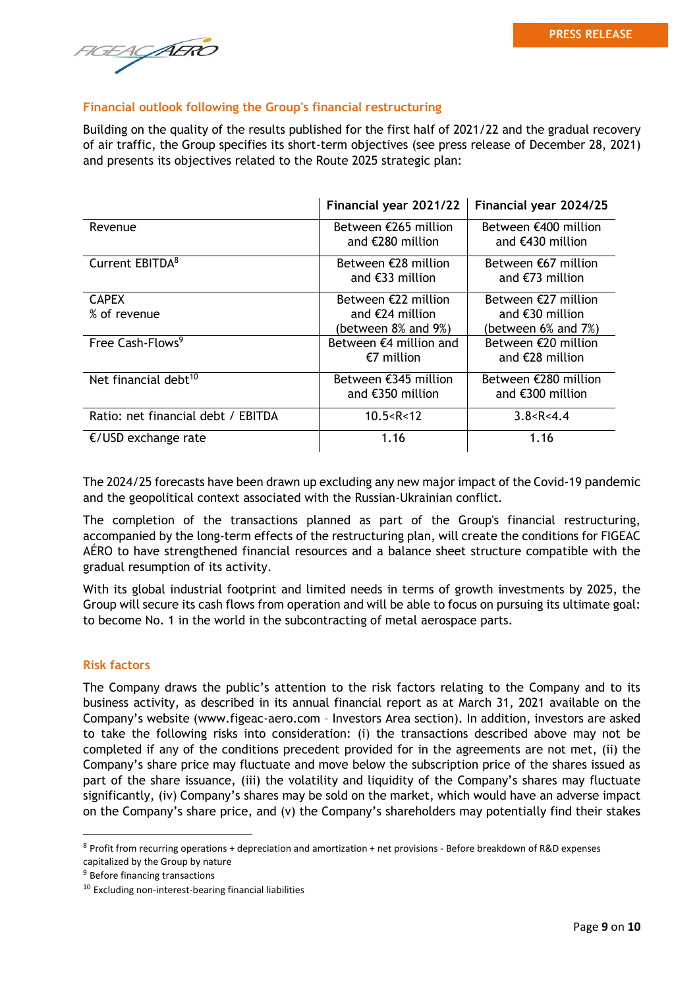AERO

## **Financial outlook following the Group's financial restructuring**

Building on the quality of the results published for the first half of 2021/22 and the gradual recovery of air traffic, the Group specifies its short-term objectives (see press release of December 28, 2021) and presents its objectives related to the Route 2025 strategic plan:

|                                    | Financial year 2021/22                                            | Financial year 2024/25                                                            |
|------------------------------------|-------------------------------------------------------------------|-----------------------------------------------------------------------------------|
| Revenue                            | Between €265 million<br>and $\epsilon$ 280 million                | Between €400 million<br>and $\epsilon$ 430 million                                |
| Current EBITDA <sup>8</sup>        | Between €28 million<br>and $\epsilon$ 33 million                  | Between $\epsilon$ 67 million<br>and $\epsilon$ 73 million                        |
| <b>CAPEX</b><br>% of revenue       | Between $E22$ million<br>and $E24$ million<br>(between 8% and 9%) | Between $\epsilon$ 27 million<br>and $\epsilon$ 30 million<br>(between 6% and 7%) |
| Free Cash-Flows <sup>9</sup>       | Between $\epsilon$ 4 million and<br>€7 million                    | Between €20 million<br>and €28 million                                            |
| Net financial debt <sup>10</sup>   | Between €345 million<br>and $\epsilon$ 350 million                | Between €280 million<br>and $\epsilon$ 300 million                                |
| Ratio: net financial debt / EBITDA | 10.5 < R < 12                                                     | 3.8 < R < 4.4                                                                     |
| €/USD exchange rate                | 1.16                                                              | 1.16                                                                              |

The 2024/25 forecasts have been drawn up excluding any new major impact of the Covid-19 pandemic and the geopolitical context associated with the Russian-Ukrainian conflict.

The completion of the transactions planned as part of the Group's financial restructuring, accompanied by the long-term effects of the restructuring plan, will create the conditions for FIGEAC AÉRO to have strengthened financial resources and a balance sheet structure compatible with the gradual resumption of its activity.

With its global industrial footprint and limited needs in terms of growth investments by 2025, the Group will secure its cash flows from operation and will be able to focus on pursuing its ultimate goal: to become No. 1 in the world in the subcontracting of metal aerospace parts.

## **Risk factors**

The Company draws the public's attention to the risk factors relating to the Company and to its business activity, as described in its annual financial report as at March 31, 2021 available on the Company's website (www.figeac-aero.com – Investors Area section). In addition, investors are asked to take the following risks into consideration: (i) the transactions described above may not be completed if any of the conditions precedent provided for in the agreements are not met, (ii) the Company's share price may fluctuate and move below the subscription price of the shares issued as part of the share issuance, (iii) the volatility and liquidity of the Company's shares may fluctuate significantly, (iv) Company's shares may be sold on the market, which would have an adverse impact on the Company's share price, and (v) the Company's shareholders may potentially find their stakes

 $8$  Profit from recurring operations + depreciation and amortization + net provisions - Before breakdown of R&D expenses capitalized by the Group by nature

<sup>&</sup>lt;sup>9</sup> Before financing transactions

<sup>&</sup>lt;sup>10</sup> Excluding non-interest-bearing financial liabilities